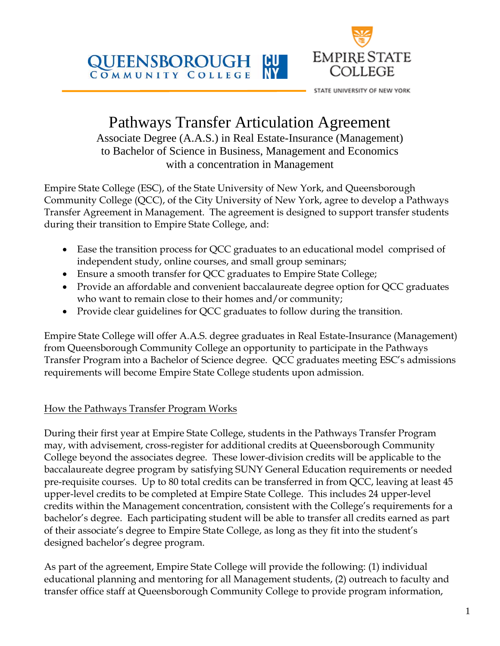**QUEENSBOROUGH** ICU COMMUNITY COLLEGE



STATE UNIVERSITY OF NEW YORK

# Pathways Transfer Articulation Agreement

Associate Degree (A.A.S.) in Real Estate-Insurance (Management) to Bachelor of Science in Business, Management and Economics with a concentration in Management

Empire State College (ESC), of the State University of New York, and Queensborough Community College (QCC), of the City University of New York, agree to develop a Pathways Transfer Agreement in Management. The agreement is designed to support transfer students during their transition to Empire State College, and:

- Ease the transition process for QCC graduates to an educational model comprised of independent study, online courses, and small group seminars;
- Ensure a smooth transfer for QCC graduates to Empire State College;
- Provide an affordable and convenient baccalaureate degree option for QCC graduates who want to remain close to their homes and/or community;
- Provide clear guidelines for QCC graduates to follow during the transition.

Empire State College will offer A.A.S. degree graduates in Real Estate-Insurance (Management) from Queensborough Community College an opportunity to participate in the Pathways Transfer Program into a Bachelor of Science degree. QCC graduates meeting ESC's admissions requirements will become Empire State College students upon admission.

## How the Pathways Transfer Program Works

During their first year at Empire State College, students in the Pathways Transfer Program may, with advisement, cross-register for additional credits at Queensborough Community College beyond the associates degree. These lower-division credits will be applicable to the baccalaureate degree program by satisfying SUNY General Education requirements or needed pre-requisite courses. Up to 80 total credits can be transferred in from QCC, leaving at least 45 upper-level credits to be completed at Empire State College. This includes 24 upper-level credits within the Management concentration, consistent with the College's requirements for a bachelor's degree. Each participating student will be able to transfer all credits earned as part of their associate's degree to Empire State College, as long as they fit into the student's designed bachelor's degree program.

As part of the agreement, Empire State College will provide the following: (1) individual educational planning and mentoring for all Management students, (2) outreach to faculty and transfer office staff at Queensborough Community College to provide program information,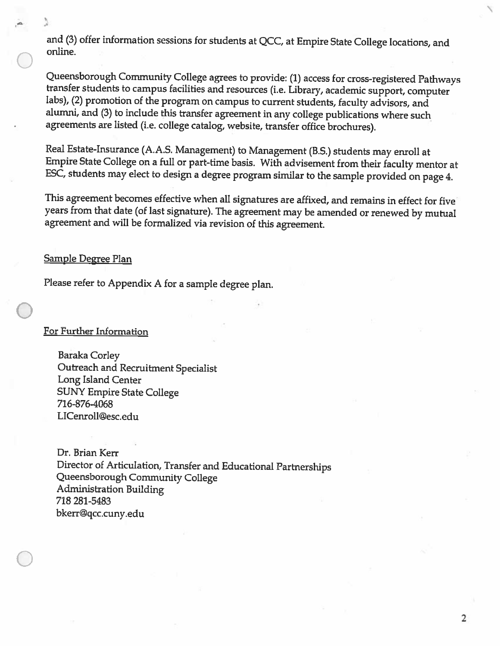and (3) offer information sessions for students at QCC, at Empire State College locations, and online.

Queensborough Community College agrees to provide: (1) access for cross-registered Pathways transfer students to campus facilities and resources (i.e. Library, academic support, computer labs), (2) promotion of the program on campus to current students, faculty advisors, and alumni, and (3) to include this transfer agreement in any college publications where such agreements are listed (i.e. college catalog, website, transfer office brochures).

Real Estate-Insurance (A.A.S. Management) to Management (B.S.) students may enroll at Empire State College on a full or part-time basis. With advisement from their faculty mentor at ESC, students may elect to design a degree program similar to the sample provided on page 4.

This agreement becomes effective when all signatures are affixed, and remains in effect for five years from that date (of last signature). The agreement may be amended or renewed by mutual agreement and will be formalized via revision of this agreement.

#### <u>Sample Degree Plan</u>

Please refer to Appendix A for a sample degree plan.

#### For Further Information

**Baraka Corley** Outreach and Recruitment Specialist Long Island Center **SUNY Empire State College** 716-876-4068 LICenroll@esc.edu

Dr. Brian Kerr Director of Articulation, Transfer and Educational Partnerships Queensborough Community College **Administration Building** 718 281-5483 bkerr@qcc.cuny.edu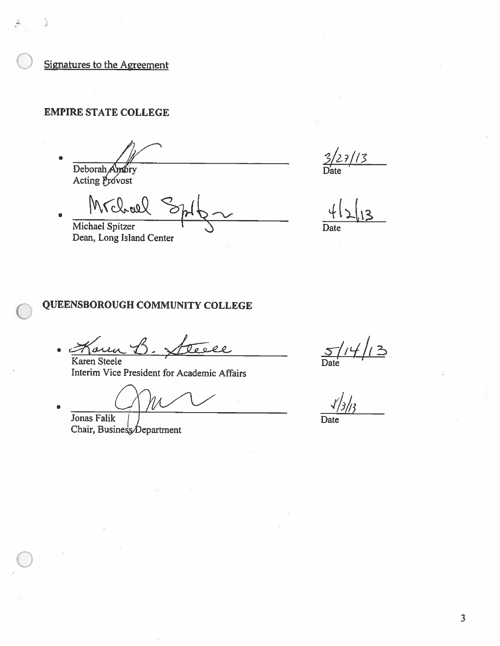Signatures to the Agreement

#### **EMPIRE STATE COLLEGE**

Deborah Andry Acting Provost

Mrchael Michael Spitzer Dean, Long Island Center

 $27/13$ 

Date

### QUEENSBOROUGH COMMUNITY COLLEGE

 $\overline{\mathfrak{o}}$  0.  $22$ Karen Steele

Interim Vice President for Academic Affairs

Jonas Falik Chair, Business Department

 $\frac{5}{\frac{5}{\sqrt{1}}/4}$  / 3

Date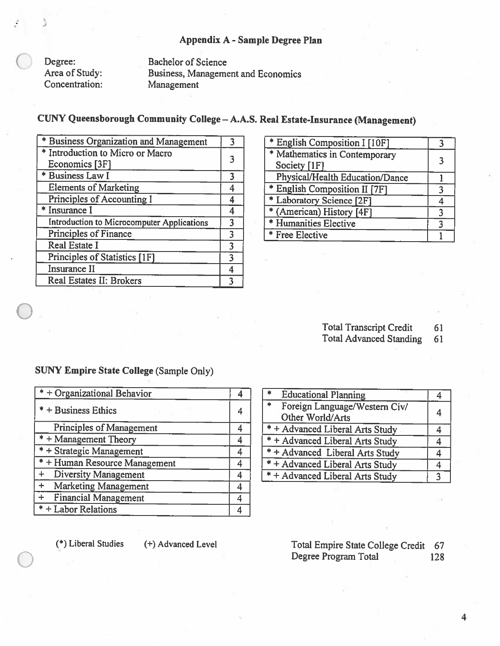#### Appendix A - Sample Degree Plan

Degree: Area of Study: Concentration:

**Bachelor of Science Business, Management and Economics** Management

## CUNY Queensborough Community College - A.A.S. Real Estate-Insurance (Management)

| * Business Organization and Management     |   |
|--------------------------------------------|---|
| * Introduction to Micro or Macro           |   |
| Economics [3F]<br>* Business Law I         |   |
|                                            |   |
| <b>Elements of Marketing</b>               |   |
| Principles of Accounting I                 |   |
| * Insurance I                              |   |
| Introduction to Microcomputer Applications |   |
| Principles of Finance                      | 3 |
| <b>Real Estate I</b>                       | 3 |
| Principles of Statistics [1F]              |   |
| Insurance II                               |   |
| Real Estates II: Brokers                   |   |
|                                            |   |

| * English Composition I [10F]   |  |
|---------------------------------|--|
| * Mathematics in Contemporary   |  |
| Society [1F]                    |  |
| Physical/Health Education/Dance |  |
| * English Composition II [7F]   |  |
| * Laboratory Science [2F]       |  |
| * (American) History [4F]       |  |
| * Humanities Elective           |  |
| * Free Elective                 |  |

**Total Transcript Credit** 61

**Total Advanced Standing** 61

## **SUNY Empire State College (Sample Only)**

| $* +$ Organizational Behavior            |   |
|------------------------------------------|---|
| $* +$ Business Ethics                    |   |
| <b>Principles of Management</b>          | 4 |
| $* +$ Management Theory                  |   |
| * + Strategic Management                 |   |
| $* +$ Human Resource Management          |   |
| <b>Diversity Management</b><br>$\ddot{}$ |   |
| + Marketing Management                   |   |
| + Financial Management                   |   |
| $* +$ Labor Relations                    |   |

| <b>Educational Planning</b>                    |   |
|------------------------------------------------|---|
| $\frac{1}{2}$<br>Foreign Language/Western Civ/ | 4 |
| Other World/Arts                               |   |
| * + Advanced Liberal Arts Study                |   |
| $* +$ Advanced Liberal Arts Study              |   |
| * + Advanced Liberal Arts Study                |   |
| $* +$ Advanced Liberal Arts Study              |   |
| * + Advanced Liberal Arts Study                |   |

(\*) Liberal Studies

(+) Advanced Level

Total Empire State College Credit 67 Degree Program Total 128

 $\overline{4}$